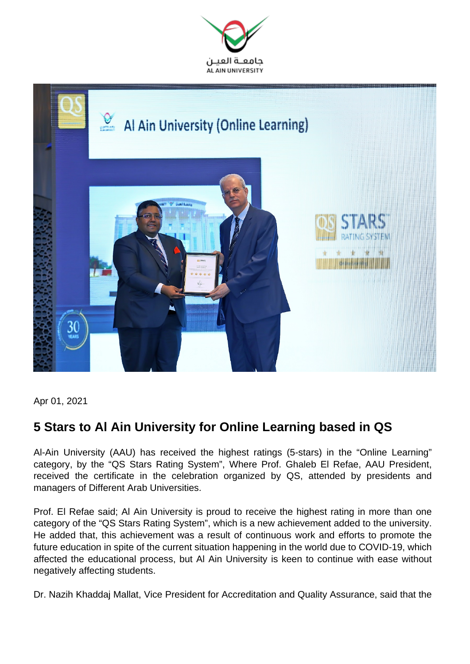



Apr 01, 2021

## **5 Stars to Al Ain University for Online Learning based in QS**

Al-Ain University (AAU) has received the highest ratings (5-stars) in the "Online Learning" category, by the "QS Stars Rating System", Where Prof. Ghaleb El Refae, AAU President, received the certificate in the celebration organized by QS, attended by presidents and managers of Different Arab Universities.

Prof. El Refae said; Al Ain University is proud to receive the highest rating in more than one category of the "QS Stars Rating System", which is a new achievement added to the university. He added that, this achievement was a result of continuous work and efforts to promote the future education in spite of the current situation happening in the world due to COVID-19, which affected the educational process, but Al Ain University is keen to continue with ease without negatively affecting students.

Dr. Nazih Khaddaj Mallat, Vice President for Accreditation and Quality Assurance, said that the